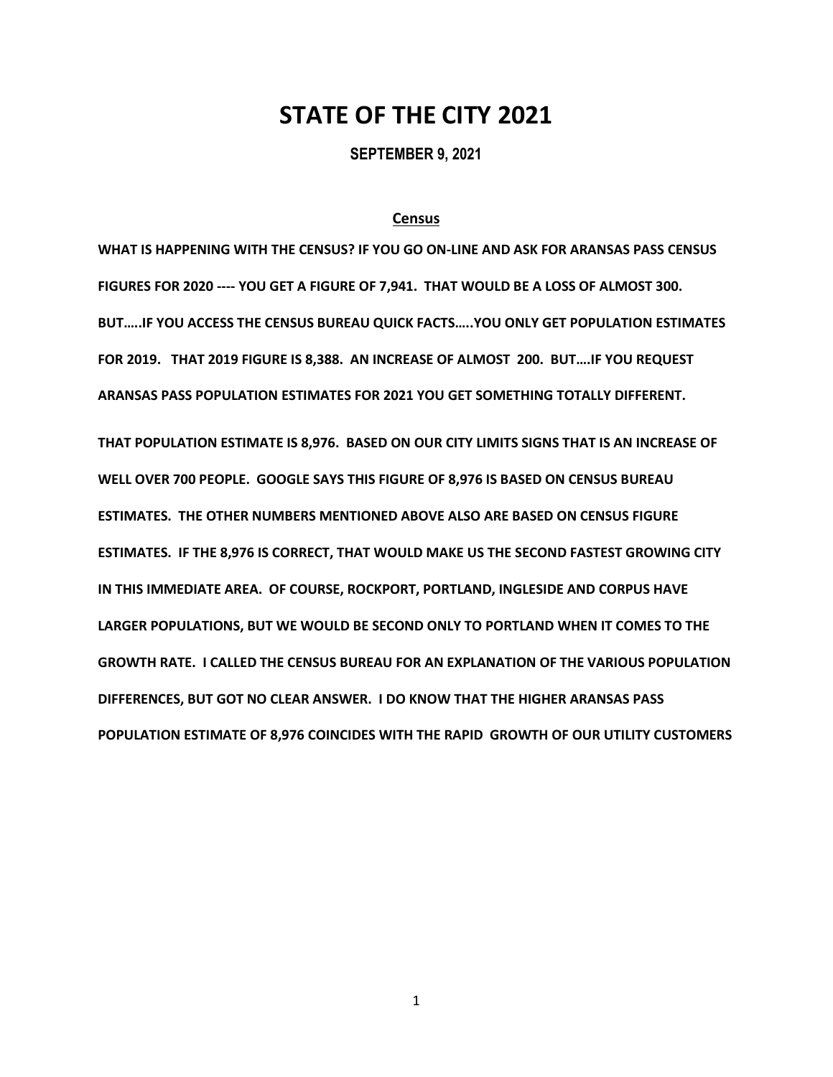# **STATE OF THE CITY 2021**

**SEPTEMBER 9, 2021**

# **Census**

**WHAT IS HAPPENING WITH THE CENSUS? IF YOU GO ON-LINE AND ASK FOR ARANSAS PASS CENSUS FIGURES FOR 2020 ---- YOU GET A FIGURE OF 7,941. THAT WOULD BE A LOSS OF ALMOST 300. BUT…..IF YOU ACCESS THE CENSUS BUREAU QUICK FACTS…..YOU ONLY GET POPULATION ESTIMATES FOR 2019. THAT 2019 FIGURE IS 8,388. AN INCREASE OF ALMOST 200. BUT….IF YOU REQUEST ARANSAS PASS POPULATION ESTIMATES FOR 2021 YOU GET SOMETHING TOTALLY DIFFERENT. THAT POPULATION ESTIMATE IS 8,976. BASED ON OUR CITY LIMITS SIGNS THAT IS AN INCREASE OF WELL OVER 700 PEOPLE. GOOGLE SAYS THIS FIGURE OF 8,976 IS BASED ON CENSUS BUREAU ESTIMATES. THE OTHER NUMBERS MENTIONED ABOVE ALSO ARE BASED ON CENSUS FIGURE ESTIMATES. IF THE 8,976 IS CORRECT, THAT WOULD MAKE US THE SECOND FASTEST GROWING CITY IN THIS IMMEDIATE AREA. OF COURSE, ROCKPORT, PORTLAND, INGLESIDE AND CORPUS HAVE LARGER POPULATIONS, BUT WE WOULD BE SECOND ONLY TO PORTLAND WHEN IT COMES TO THE GROWTH RATE. I CALLED THE CENSUS BUREAU FOR AN EXPLANATION OF THE VARIOUS POPULATION DIFFERENCES, BUT GOT NO CLEAR ANSWER. I DO KNOW THAT THE HIGHER ARANSAS PASS POPULATION ESTIMATE OF 8,976 COINCIDES WITH THE RAPID GROWTH OF OUR UTILITY CUSTOMERS**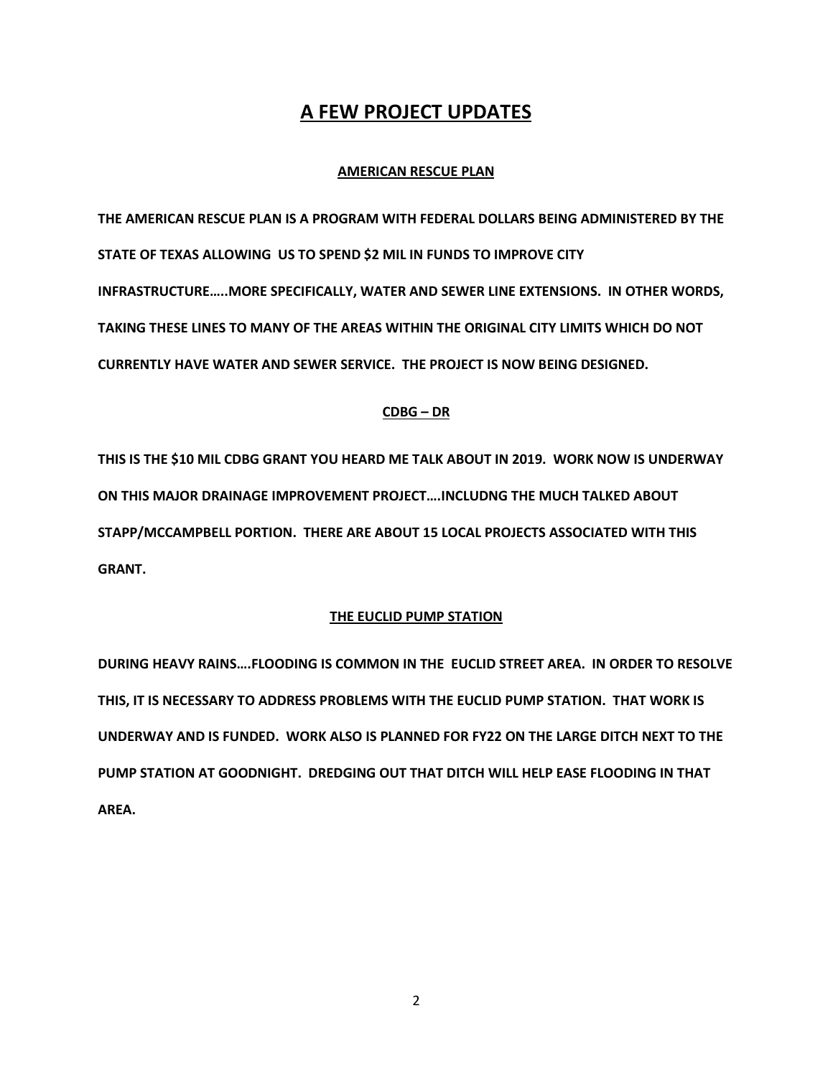# **A FEW PROJECT UPDATES**

# **AMERICAN RESCUE PLAN**

**THE AMERICAN RESCUE PLAN IS A PROGRAM WITH FEDERAL DOLLARS BEING ADMINISTERED BY THE STATE OF TEXAS ALLOWING US TO SPEND \$2 MIL IN FUNDS TO IMPROVE CITY INFRASTRUCTURE…..MORE SPECIFICALLY, WATER AND SEWER LINE EXTENSIONS. IN OTHER WORDS, TAKING THESE LINES TO MANY OF THE AREAS WITHIN THE ORIGINAL CITY LIMITS WHICH DO NOT CURRENTLY HAVE WATER AND SEWER SERVICE. THE PROJECT IS NOW BEING DESIGNED.** 

# **CDBG – DR**

**THIS IS THE \$10 MIL CDBG GRANT YOU HEARD ME TALK ABOUT IN 2019. WORK NOW IS UNDERWAY ON THIS MAJOR DRAINAGE IMPROVEMENT PROJECT….INCLUDNG THE MUCH TALKED ABOUT STAPP/MCCAMPBELL PORTION. THERE ARE ABOUT 15 LOCAL PROJECTS ASSOCIATED WITH THIS GRANT.** 

# **THE EUCLID PUMP STATION**

**DURING HEAVY RAINS….FLOODING IS COMMON IN THE EUCLID STREET AREA. IN ORDER TO RESOLVE THIS, IT IS NECESSARY TO ADDRESS PROBLEMS WITH THE EUCLID PUMP STATION. THAT WORK IS UNDERWAY AND IS FUNDED. WORK ALSO IS PLANNED FOR FY22 ON THE LARGE DITCH NEXT TO THE PUMP STATION AT GOODNIGHT. DREDGING OUT THAT DITCH WILL HELP EASE FLOODING IN THAT AREA.**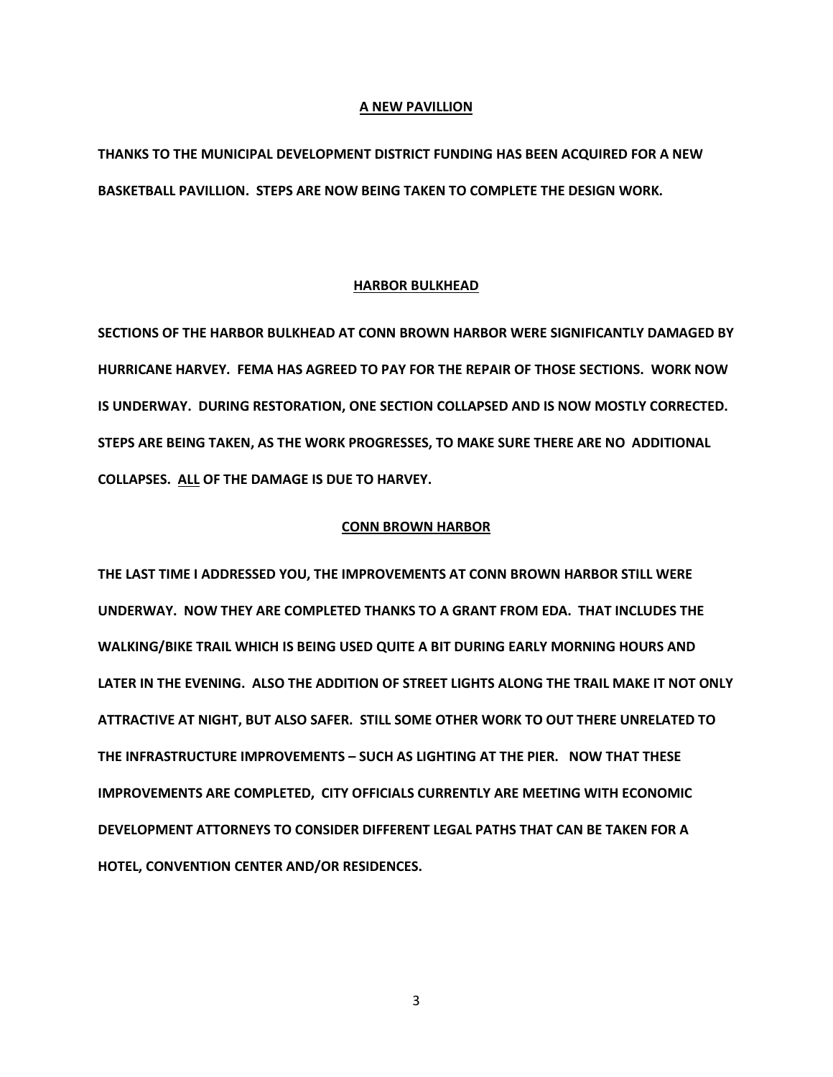#### **A NEW PAVILLION**

**THANKS TO THE MUNICIPAL DEVELOPMENT DISTRICT FUNDING HAS BEEN ACQUIRED FOR A NEW BASKETBALL PAVILLION. STEPS ARE NOW BEING TAKEN TO COMPLETE THE DESIGN WORK.**

### **HARBOR BULKHEAD**

**SECTIONS OF THE HARBOR BULKHEAD AT CONN BROWN HARBOR WERE SIGNIFICANTLY DAMAGED BY HURRICANE HARVEY. FEMA HAS AGREED TO PAY FOR THE REPAIR OF THOSE SECTIONS. WORK NOW IS UNDERWAY. DURING RESTORATION, ONE SECTION COLLAPSED AND IS NOW MOSTLY CORRECTED. STEPS ARE BEING TAKEN, AS THE WORK PROGRESSES, TO MAKE SURE THERE ARE NO ADDITIONAL COLLAPSES. ALL OF THE DAMAGE IS DUE TO HARVEY.** 

### **CONN BROWN HARBOR**

**THE LAST TIME I ADDRESSED YOU, THE IMPROVEMENTS AT CONN BROWN HARBOR STILL WERE UNDERWAY. NOW THEY ARE COMPLETED THANKS TO A GRANT FROM EDA. THAT INCLUDES THE WALKING/BIKE TRAIL WHICH IS BEING USED QUITE A BIT DURING EARLY MORNING HOURS AND LATER IN THE EVENING. ALSO THE ADDITION OF STREET LIGHTS ALONG THE TRAIL MAKE IT NOT ONLY ATTRACTIVE AT NIGHT, BUT ALSO SAFER. STILL SOME OTHER WORK TO OUT THERE UNRELATED TO THE INFRASTRUCTURE IMPROVEMENTS – SUCH AS LIGHTING AT THE PIER. NOW THAT THESE IMPROVEMENTS ARE COMPLETED, CITY OFFICIALS CURRENTLY ARE MEETING WITH ECONOMIC DEVELOPMENT ATTORNEYS TO CONSIDER DIFFERENT LEGAL PATHS THAT CAN BE TAKEN FOR A HOTEL, CONVENTION CENTER AND/OR RESIDENCES.**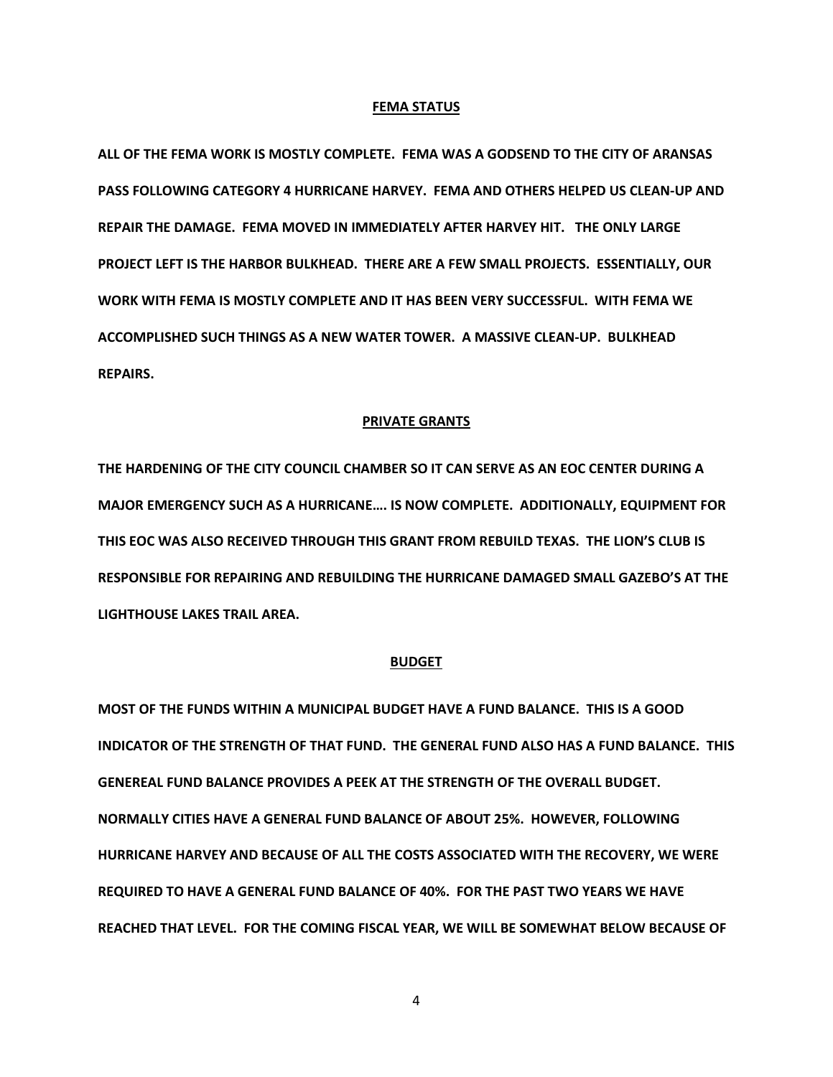#### **FEMA STATUS**

**ALL OF THE FEMA WORK IS MOSTLY COMPLETE. FEMA WAS A GODSEND TO THE CITY OF ARANSAS PASS FOLLOWING CATEGORY 4 HURRICANE HARVEY. FEMA AND OTHERS HELPED US CLEAN-UP AND REPAIR THE DAMAGE. FEMA MOVED IN IMMEDIATELY AFTER HARVEY HIT. THE ONLY LARGE PROJECT LEFT IS THE HARBOR BULKHEAD. THERE ARE A FEW SMALL PROJECTS. ESSENTIALLY, OUR WORK WITH FEMA IS MOSTLY COMPLETE AND IT HAS BEEN VERY SUCCESSFUL. WITH FEMA WE ACCOMPLISHED SUCH THINGS AS A NEW WATER TOWER. A MASSIVE CLEAN-UP. BULKHEAD REPAIRS.** 

### **PRIVATE GRANTS**

**THE HARDENING OF THE CITY COUNCIL CHAMBER SO IT CAN SERVE AS AN EOC CENTER DURING A MAJOR EMERGENCY SUCH AS A HURRICANE…. IS NOW COMPLETE. ADDITIONALLY, EQUIPMENT FOR THIS EOC WAS ALSO RECEIVED THROUGH THIS GRANT FROM REBUILD TEXAS. THE LION'S CLUB IS RESPONSIBLE FOR REPAIRING AND REBUILDING THE HURRICANE DAMAGED SMALL GAZEBO'S AT THE LIGHTHOUSE LAKES TRAIL AREA.** 

#### **BUDGET**

**MOST OF THE FUNDS WITHIN A MUNICIPAL BUDGET HAVE A FUND BALANCE. THIS IS A GOOD INDICATOR OF THE STRENGTH OF THAT FUND. THE GENERAL FUND ALSO HAS A FUND BALANCE. THIS GENEREAL FUND BALANCE PROVIDES A PEEK AT THE STRENGTH OF THE OVERALL BUDGET. NORMALLY CITIES HAVE A GENERAL FUND BALANCE OF ABOUT 25%. HOWEVER, FOLLOWING HURRICANE HARVEY AND BECAUSE OF ALL THE COSTS ASSOCIATED WITH THE RECOVERY, WE WERE REQUIRED TO HAVE A GENERAL FUND BALANCE OF 40%. FOR THE PAST TWO YEARS WE HAVE REACHED THAT LEVEL. FOR THE COMING FISCAL YEAR, WE WILL BE SOMEWHAT BELOW BECAUSE OF**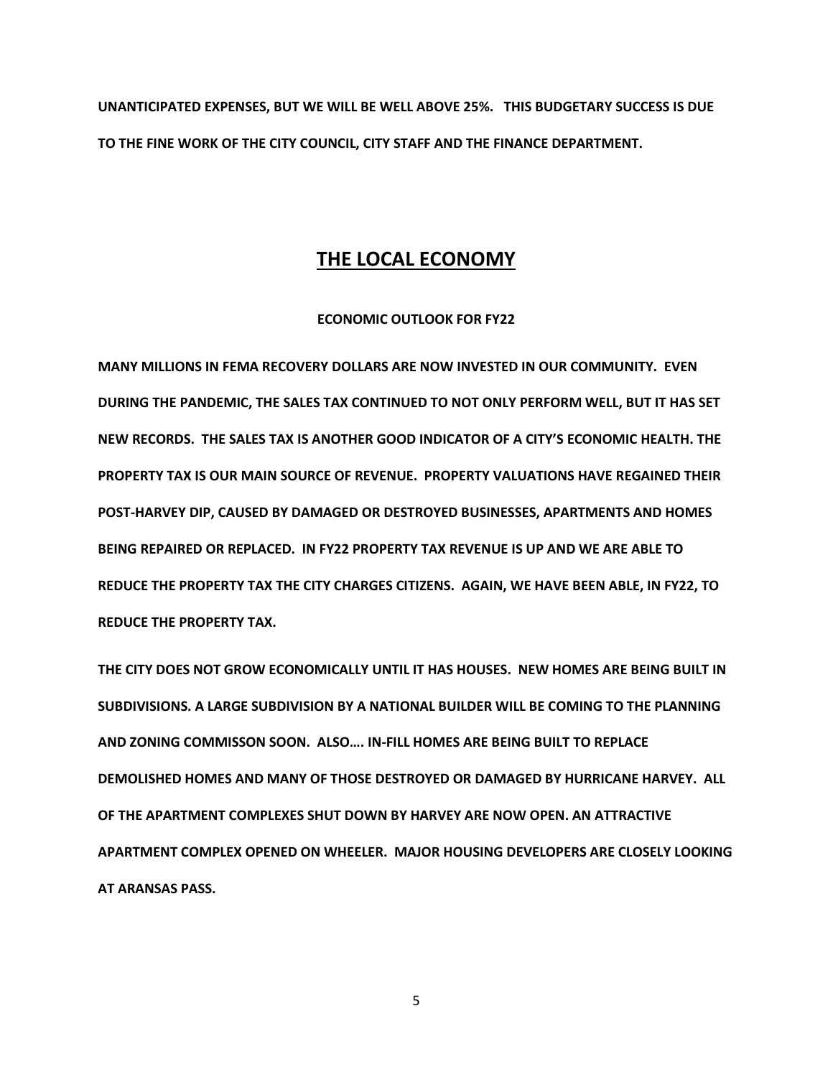**UNANTICIPATED EXPENSES, BUT WE WILL BE WELL ABOVE 25%. THIS BUDGETARY SUCCESS IS DUE TO THE FINE WORK OF THE CITY COUNCIL, CITY STAFF AND THE FINANCE DEPARTMENT.** 

# **THE LOCAL ECONOMY**

### **ECONOMIC OUTLOOK FOR FY22**

**MANY MILLIONS IN FEMA RECOVERY DOLLARS ARE NOW INVESTED IN OUR COMMUNITY. EVEN DURING THE PANDEMIC, THE SALES TAX CONTINUED TO NOT ONLY PERFORM WELL, BUT IT HAS SET NEW RECORDS. THE SALES TAX IS ANOTHER GOOD INDICATOR OF A CITY'S ECONOMIC HEALTH. THE PROPERTY TAX IS OUR MAIN SOURCE OF REVENUE. PROPERTY VALUATIONS HAVE REGAINED THEIR POST-HARVEY DIP, CAUSED BY DAMAGED OR DESTROYED BUSINESSES, APARTMENTS AND HOMES BEING REPAIRED OR REPLACED. IN FY22 PROPERTY TAX REVENUE IS UP AND WE ARE ABLE TO REDUCE THE PROPERTY TAX THE CITY CHARGES CITIZENS. AGAIN, WE HAVE BEEN ABLE, IN FY22, TO REDUCE THE PROPERTY TAX.** 

**THE CITY DOES NOT GROW ECONOMICALLY UNTIL IT HAS HOUSES. NEW HOMES ARE BEING BUILT IN SUBDIVISIONS. A LARGE SUBDIVISION BY A NATIONAL BUILDER WILL BE COMING TO THE PLANNING AND ZONING COMMISSON SOON. ALSO…. IN-FILL HOMES ARE BEING BUILT TO REPLACE DEMOLISHED HOMES AND MANY OF THOSE DESTROYED OR DAMAGED BY HURRICANE HARVEY. ALL OF THE APARTMENT COMPLEXES SHUT DOWN BY HARVEY ARE NOW OPEN. AN ATTRACTIVE APARTMENT COMPLEX OPENED ON WHEELER. MAJOR HOUSING DEVELOPERS ARE CLOSELY LOOKING AT ARANSAS PASS.**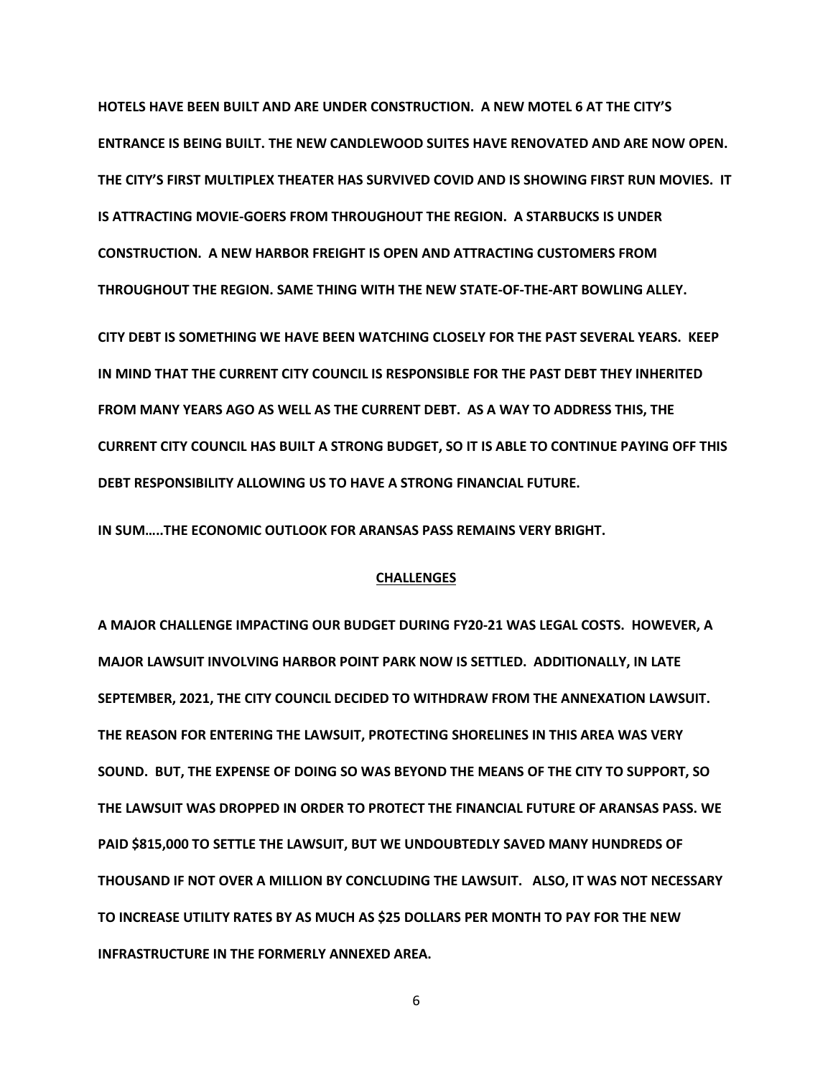**HOTELS HAVE BEEN BUILT AND ARE UNDER CONSTRUCTION. A NEW MOTEL 6 AT THE CITY'S ENTRANCE IS BEING BUILT. THE NEW CANDLEWOOD SUITES HAVE RENOVATED AND ARE NOW OPEN. THE CITY'S FIRST MULTIPLEX THEATER HAS SURVIVED COVID AND IS SHOWING FIRST RUN MOVIES. IT IS ATTRACTING MOVIE-GOERS FROM THROUGHOUT THE REGION. A STARBUCKS IS UNDER CONSTRUCTION. A NEW HARBOR FREIGHT IS OPEN AND ATTRACTING CUSTOMERS FROM THROUGHOUT THE REGION. SAME THING WITH THE NEW STATE-OF-THE-ART BOWLING ALLEY.** 

**CITY DEBT IS SOMETHING WE HAVE BEEN WATCHING CLOSELY FOR THE PAST SEVERAL YEARS. KEEP IN MIND THAT THE CURRENT CITY COUNCIL IS RESPONSIBLE FOR THE PAST DEBT THEY INHERITED FROM MANY YEARS AGO AS WELL AS THE CURRENT DEBT. AS A WAY TO ADDRESS THIS, THE CURRENT CITY COUNCIL HAS BUILT A STRONG BUDGET, SO IT IS ABLE TO CONTINUE PAYING OFF THIS DEBT RESPONSIBILITY ALLOWING US TO HAVE A STRONG FINANCIAL FUTURE.** 

**IN SUM…..THE ECONOMIC OUTLOOK FOR ARANSAS PASS REMAINS VERY BRIGHT.** 

#### **CHALLENGES**

**A MAJOR CHALLENGE IMPACTING OUR BUDGET DURING FY20-21 WAS LEGAL COSTS. HOWEVER, A MAJOR LAWSUIT INVOLVING HARBOR POINT PARK NOW IS SETTLED. ADDITIONALLY, IN LATE SEPTEMBER, 2021, THE CITY COUNCIL DECIDED TO WITHDRAW FROM THE ANNEXATION LAWSUIT. THE REASON FOR ENTERING THE LAWSUIT, PROTECTING SHORELINES IN THIS AREA WAS VERY SOUND. BUT, THE EXPENSE OF DOING SO WAS BEYOND THE MEANS OF THE CITY TO SUPPORT, SO THE LAWSUIT WAS DROPPED IN ORDER TO PROTECT THE FINANCIAL FUTURE OF ARANSAS PASS. WE PAID \$815,000 TO SETTLE THE LAWSUIT, BUT WE UNDOUBTEDLY SAVED MANY HUNDREDS OF THOUSAND IF NOT OVER A MILLION BY CONCLUDING THE LAWSUIT. ALSO, IT WAS NOT NECESSARY TO INCREASE UTILITY RATES BY AS MUCH AS \$25 DOLLARS PER MONTH TO PAY FOR THE NEW INFRASTRUCTURE IN THE FORMERLY ANNEXED AREA.**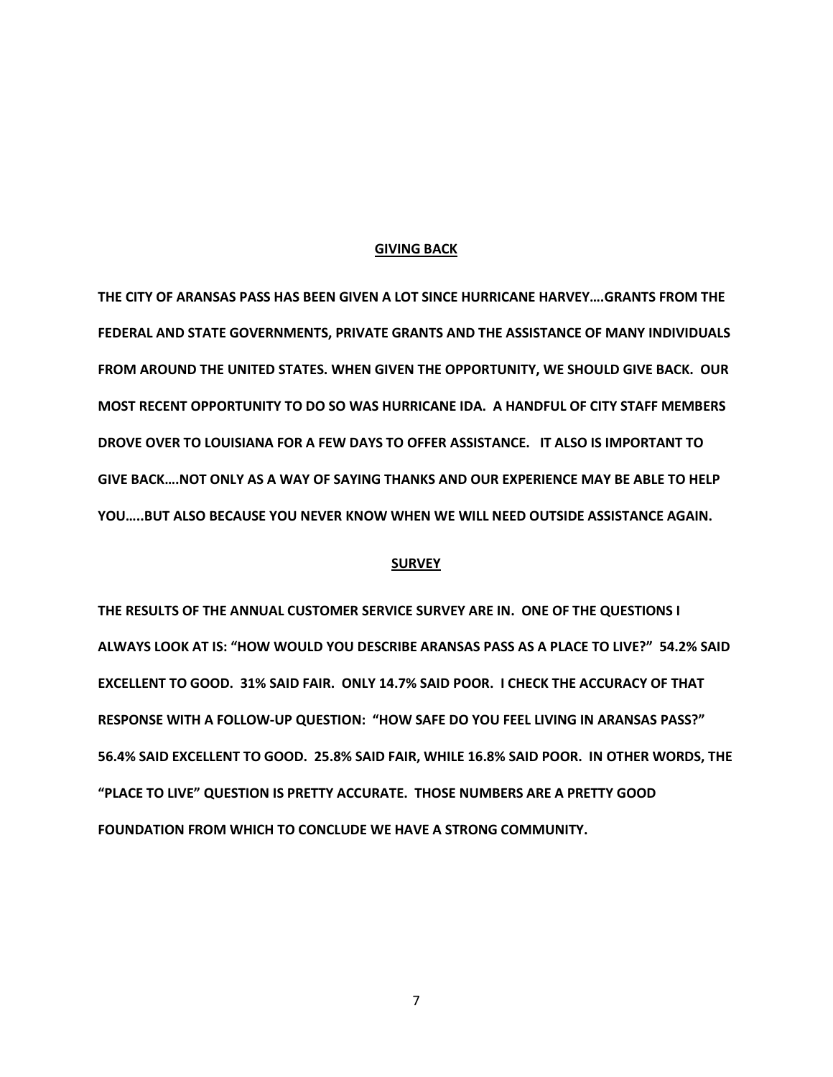#### **GIVING BACK**

**THE CITY OF ARANSAS PASS HAS BEEN GIVEN A LOT SINCE HURRICANE HARVEY….GRANTS FROM THE FEDERAL AND STATE GOVERNMENTS, PRIVATE GRANTS AND THE ASSISTANCE OF MANY INDIVIDUALS FROM AROUND THE UNITED STATES. WHEN GIVEN THE OPPORTUNITY, WE SHOULD GIVE BACK. OUR MOST RECENT OPPORTUNITY TO DO SO WAS HURRICANE IDA. A HANDFUL OF CITY STAFF MEMBERS DROVE OVER TO LOUISIANA FOR A FEW DAYS TO OFFER ASSISTANCE. IT ALSO IS IMPORTANT TO GIVE BACK….NOT ONLY AS A WAY OF SAYING THANKS AND OUR EXPERIENCE MAY BE ABLE TO HELP YOU…..BUT ALSO BECAUSE YOU NEVER KNOW WHEN WE WILL NEED OUTSIDE ASSISTANCE AGAIN.** 

#### **SURVEY**

**THE RESULTS OF THE ANNUAL CUSTOMER SERVICE SURVEY ARE IN. ONE OF THE QUESTIONS I ALWAYS LOOK AT IS: "HOW WOULD YOU DESCRIBE ARANSAS PASS AS A PLACE TO LIVE?" 54.2% SAID EXCELLENT TO GOOD. 31% SAID FAIR. ONLY 14.7% SAID POOR. I CHECK THE ACCURACY OF THAT RESPONSE WITH A FOLLOW-UP QUESTION: "HOW SAFE DO YOU FEEL LIVING IN ARANSAS PASS?" 56.4% SAID EXCELLENT TO GOOD. 25.8% SAID FAIR, WHILE 16.8% SAID POOR. IN OTHER WORDS, THE "PLACE TO LIVE" QUESTION IS PRETTY ACCURATE. THOSE NUMBERS ARE A PRETTY GOOD FOUNDATION FROM WHICH TO CONCLUDE WE HAVE A STRONG COMMUNITY.**